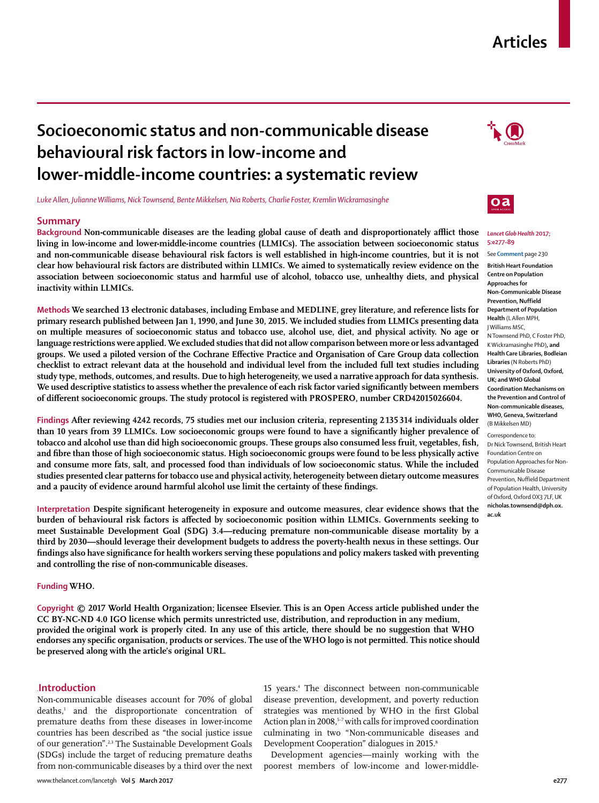# **Articles**

# **Socioeconomic status and non-communicable disease behavioural risk factors in low-income and lower-middle-income countries: a systematic review**

*Luke Allen, Julianne Williams, Nick Townsend, Bente Mikkelsen, Nia Roberts, Charlie Foster, Kremlin Wickramasinghe*

# **Summary**

Background Non-communicable diseases are the leading global cause of death and disproportionately afflict those **living in low-income and lower-middle-income countries (LLMICs). The association between socioeconomic status and non-communicable disease behavioural risk factors is well established in high-income countries, but it is not clear how behavioural risk factors are distributed within LLMICs. We aimed to systematically review evidence on the association between socioeconomic status and harmful use of alcohol, tobacco use, unhealthy diets, and physical inactivity within LLMICs.**

**Methods We searched 13 electronic databases, including Embase and MEDLINE, grey literature, and reference lists for primary research published between Jan 1, 1990, and June 30, 2015. We included studies from LLMICs presenting data on multiple measures of socioeconomic status and tobacco use, alcohol use, diet, and physical activity. No age or language restrictions were applied. We excluded studies that did not allow comparison between more or less advantaged groups. We used a piloted version of the Cochrane Effective Practice and Organisation of Care Group data collection checklist to extract relevant data at the household and individual level from the included full text studies including study type, methods, outcomes, and results. Due to high heterogeneity, we used a narrative approach for data synthesis.**  We used descriptive statistics to assess whether the prevalence of each risk factor varied significantly between members of different socioeconomic groups. The study protocol is registered with PROSPERO, number CRD42015026604.

**Findings After reviewing 4242 records, 75 studies met our inclusion criteria, representing 2 135 314 individuals older**  than 10 years from 39 LLMICs. Low socioeconomic groups were found to have a significantly higher prevalence of tobacco and alcohol use than did high socioeconomic groups. These groups also consumed less fruit, vegetables, fish, and fibre than those of high socioeconomic status. High socioeconomic groups were found to be less physically active **and consume more fats, salt, and processed food than individuals of low socioeconomic status. While the included studies presented clear patterns for tobacco use and physical activity, heterogeneity between dietary outcome measures**  and a paucity of evidence around harmful alcohol use limit the certainty of these findings.

Interpretation Despite significant heterogeneity in exposure and outcome measures, clear evidence shows that the burden of behavioural risk factors is affected by socioeconomic position within LLMICs. Governments seeking to **meet Sustainable Development Goal (SDG) 3.4—reducing premature non-communicable disease mortality by a third by 2030—should leverage their development budgets to address the poverty-health nexus in these settings. Our**  findings also have significance for health workers serving these populations and policy makers tasked with preventing **and controlling the rise of non-communicable diseases.**

# **Funding WHO.**

**Copyright © 2017 World Health Organization; licensee Elsevier. This is an Open Access article published under the CC BY-NC-ND 4.0 IGO license which permits unrestricted use, distribution, and reproduction in any medium, original work is properly cited. In any use of this article, there should be no suggestion that WHO provided the any specific organisation, products or services. The use of the WHO logo is not permitted. This notice should endorsesbe preserved along with the article's original URL.**

## .**Introduction**

Non-communicable diseases account for 70% of global deaths,1 and the disproportionate concentration of premature deaths from these diseases in lower-income countries has been described as "the social justice issue of our generation".2,3 The Sustainable Development Goals (SDGs) include the target of reducing premature deaths from non-communicable diseases by a third over the next

15 years.4 The disconnect between non-communicable disease prevention, development, and poverty reduction strategies was mentioned by WHO in the first Global Action plan in 2008,<sup>5-7</sup> with calls for improved coordination culminating in two "Non-communicable diseases and Development Cooperation" dialogues in 2015.<sup>8</sup>

Development agencies—mainly working with the poorest members of low-income and lower-middle-





*Lancet Glob Health* **2017; 5:e277–89**

See **Comment** page 230 **British Heart Foundation Centre on Population Approaches for Non-Communicable Disease Prevention, Nuffield Department of Population Health** (L Allen MPH, J Williams MSC, N Townsend PhD, C Foster PhD, K Wickramasinghe PhD)**, and Health Care Libraries, Bodleian Libraries** (N Roberts PhD)

**University of Oxford, Oxford, UK; and WHO Global Coordination Mechanisms on the Prevention and Control of Non-communicable diseases, WHO, Geneva, Switzerland** (B Mikkelsen MD)

Correspondence to: Dr Nick Townsend, British Heart Foundation Centre on Population Approaches for Non-Communicable Disease Prevention, Nuffield Department of Population Health, University of Oxford, Oxford OX3 7LF, UK **nicholas.townsend@dph.ox. ac.uk**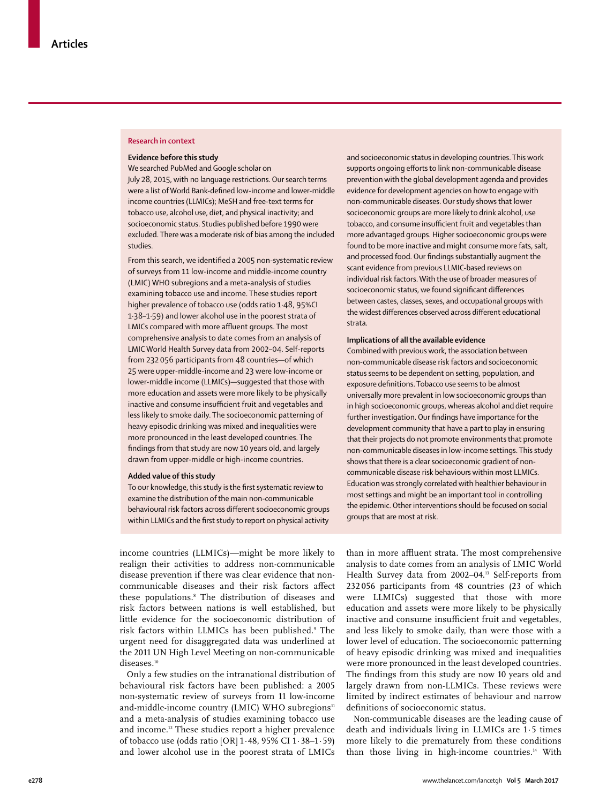### **Research in context**

studies.

# **Evidence before this study**

We searched PubMed and Google scholar on July 28, 2015, with no language restrictions. Our search terms were a list of World Bank-defined low-income and lower-middle income countries (LLMICs); MeSH and free-text terms for tobacco use, alcohol use, diet, and physical inactivity; and socioeconomic status. Studies published before 1990 were excluded. There was a moderate risk of bias among the included

From this search, we identified a 2005 non-systematic review of surveys from 11 low-income and middle-income country (LMIC) WHO subregions and a meta-analysis of studies examining tobacco use and income. These studies report higher prevalence of tobacco use (odds ratio 1·48, 95%CI 1·38–1·59) and lower alcohol use in the poorest strata of LMICs compared with more affluent groups. The most comprehensive analysis to date comes from an analysis of LMIC World Health Survey data from 2002–04. Self-reports from 232 056 participants from 48 countries—of which 25 were upper-middle-income and 23 were low-income or lower-middle income (LLMICs)—suggested that those with more education and assets were more likely to be physically inactive and consume insufficient fruit and vegetables and less likely to smoke daily. The socioeconomic patterning of heavy episodic drinking was mixed and inequalities were more pronounced in the least developed countries. The findings from that study are now 10 years old, and largely drawn from upper-middle or high-income countries.

#### **Added value of this study**

To our knowledge, this study is the first systematic review to examine the distribution of the main non-communicable behavioural risk factors across different socioeconomic groups within LLMICs and the first study to report on physical activity and socioeconomic status in developing countries. This work supports ongoing efforts to link non-communicable disease prevention with the global development agenda and provides evidence for development agencies on how to engage with non-communicable diseases. Our study shows that lower socioeconomic groups are more likely to drink alcohol, use tobacco, and consume insufficient fruit and vegetables than more advantaged groups. Higher socioeconomic groups were found to be more inactive and might consume more fats, salt, and processed food. Our findings substantially augment the scant evidence from previous LLMIC-based reviews on individual risk factors. With the use of broader measures of socioeconomic status, we found significant differences between castes, classes, sexes, and occupational groups with the widest differences observed across different educational strata.

# **Implications of all the available evidence**

Combined with previous work, the association between non-communicable disease risk factors and socioeconomic status seems to be dependent on setting, population, and exposure definitions. Tobacco use seems to be almost universally more prevalent in low socioeconomic groups than in high socioeconomic groups, whereas alcohol and diet require further investigation. Our findings have importance for the development community that have a part to play in ensuring that their projects do not promote environments that promote non-communicable diseases in low-income settings. This study shows that there is a clear socioeconomic gradient of noncommunicable disease risk behaviours within most LLMICs. Education was strongly correlated with healthier behaviour in most settings and might be an important tool in controlling the epidemic. Other interventions should be focused on social groups that are most at risk.

income countries (LLMICs)—might be more likely to realign their activities to address non-communicable disease prevention if there was clear evidence that noncommunicable diseases and their risk factors affect these populations.8 The distribution of diseases and risk factors between nations is well established, but little evidence for the socioeconomic distribution of risk factors within LLMICs has been published.9 The urgent need for disaggregated data was underlined at the 2011 UN High Level Meeting on non-communicable diseases.<sup>10</sup>

Only a few studies on the intranational distribution of behavioural risk factors have been published: a 2005 non-systematic review of surveys from 11 low-income and-middle-income country (LMIC) WHO subregions<sup>11</sup> and a meta-analysis of studies examining tobacco use and income.12 These studies report a higher prevalence of tobacco use (odds ratio [OR] 1·48, 95% CI 1·38–1·59) and lower alcohol use in the poorest strata of LMICs than in more affluent strata. The most comprehensive analysis to date comes from an analysis of LMIC World Health Survey data from 2002–04.13 Self-reports from 232 056 participants from 48 countries (23 of which were LLMICs) suggested that those with more education and assets were more likely to be physically inactive and consume insufficient fruit and vegetables, and less likely to smoke daily, than were those with a lower level of education. The socioeconomic patterning of heavy episodic drinking was mixed and inequalities were more pronounced in the least developed countries. The findings from this study are now 10 years old and largely drawn from non-LLMICs. These reviews were limited by indirect estimates of behaviour and narrow definitions of socioeconomic status.

Non-communicable diseases are the leading cause of death and individuals living in LLMICs are 1·5 times more likely to die prematurely from these conditions than those living in high-income countries.14 With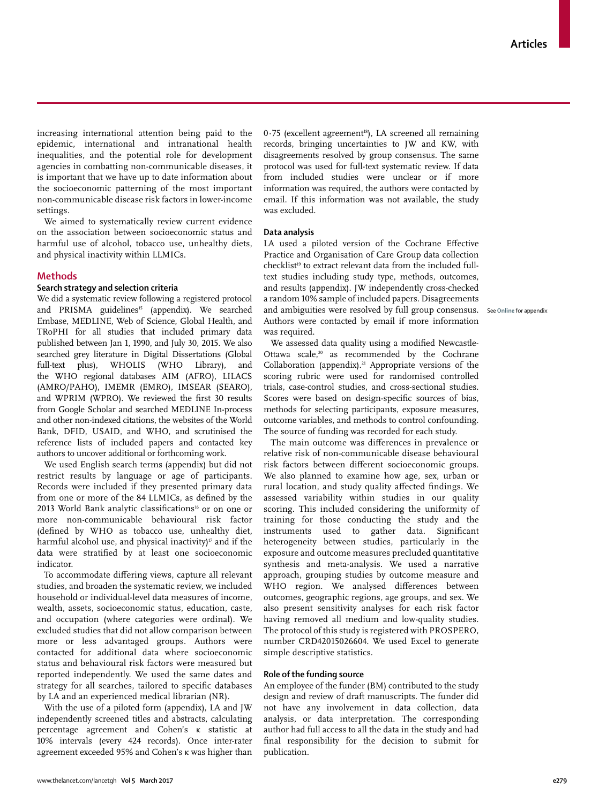increasing international attention being paid to the epidemic, international and intranational health inequalities, and the potential role for development agencies in combatting non-communicable diseases, it is important that we have up to date information about the socioeconomic patterning of the most important non-communicable disease risk factors in lower-income settings.

We aimed to systematically review current evidence on the association between socioeconomic status and harmful use of alcohol, tobacco use, unhealthy diets, and physical inactivity within LLMICs.

# **Methods**

# **Search strategy and selection criteria**

We did a systematic review following a registered protocol and PRISMA guidelines<sup>15</sup> (appendix). We searched Embase, MEDLINE, Web of Science, Global Health, and TRoPHI for all studies that included primary data published between Jan 1, 1990, and July 30, 2015. We also searched grey literature in Digital Dissertations (Global full-text plus), WHOLIS (WHO Library), and full-text plus), WHOLIS the WHO regional databases AIM (AFRO), LILACS (AMRO/PAHO), IMEMR (EMRO), IMSEAR (SEARO), and WPRIM (WPRO). We reviewed the first 30 results from Google Scholar and searched MEDLINE In-process and other non-indexed citations, the websites of the World Bank, DFID, USAID, and WHO, and scrutinised the reference lists of included papers and contacted key authors to uncover additional or forthcoming work.

We used English search terms (appendix) but did not restrict results by language or age of participants. Records were included if they presented primary data from one or more of the 84 LLMICs, as defined by the 2013 World Bank analytic classifications<sup>16</sup> or on one or more non-communicable behavioural risk factor (defined by WHO as tobacco use, unhealthy diet, harmful alcohol use, and physical inactivity) $\alpha$  and if the data were stratified by at least one socioeconomic indicator.

To accommodate differing views, capture all relevant studies, and broaden the systematic review, we included household or individual-level data measures of income, wealth, assets, socioeconomic status, education, caste, and occupation (where categories were ordinal). We excluded studies that did not allow comparison between more or less advantaged groups. Authors were contacted for additional data where socioeconomic status and behavioural risk factors were measured but reported independently. We used the same dates and strategy for all searches, tailored to specific databases by LA and an experienced medical librarian (NR).

With the use of a piloted form (appendix), LA and JW independently screened titles and abstracts, calculating percentage agreement and Cohen's κ statistic at 10% intervals (every 424 records). Once inter-rater agreement exceeded 95% and Cohen's κ was higher than  $0.75$  (excellent agreement<sup>18</sup>), LA screened all remaining records, bringing uncertainties to JW and KW, with disagreements resolved by group consensus. The same protocol was used for full-text systematic review. If data from included studies were unclear or if more information was required, the authors were contacted by email. If this information was not available, the study was excluded.

### **Data analysis**

LA used a piloted version of the Cochrane Effective Practice and Organisation of Care Group data collection checklist<sup>19</sup> to extract relevant data from the included fulltext studies including study type, methods, outcomes, and results (appendix). JW independently cross-checked a random 10% sample of included papers. Disagreements and ambiguities were resolved by full group consensus. Authors were contacted by email if more information was required.

We assessed data quality using a modified Newcastle-Ottawa scale,<sup>20</sup> as recommended by the Cochrane Collaboration (appendix).<sup>21</sup> Appropriate versions of the scoring rubric were used for randomised controlled trials, case-control studies, and cross-sectional studies. Scores were based on design-specific sources of bias, methods for selecting participants, exposure measures, outcome variables, and methods to control confounding. The source of funding was recorded for each study.

The main outcome was differences in prevalence or relative risk of non-communicable disease behavioural risk factors between different socioeconomic groups. We also planned to examine how age, sex, urban or rural location, and study quality affected findings. We assessed variability within studies in our quality scoring. This included considering the uniformity of training for those conducting the study and the instruments used to gather data. Significant heterogeneity between studies, particularly in the exposure and outcome measures precluded quantitative synthesis and meta-analysis. We used a narrative approach, grouping studies by outcome measure and WHO region. We analysed differences between outcomes, geographic regions, age groups, and sex. We also present sensitivity analyses for each risk factor having removed all medium and low-quality studies. The protocol of this study is registered with PROSPERO, number CRD42015026604. We used Excel to generate simple descriptive statistics.

#### **Role of the funding source**

An employee of the funder (BM) contributed to the study design and review of draft manuscripts. The funder did not have any involvement in data collection, data analysis, or data interpretation. The corresponding author had full access to all the data in the study and had final responsibility for the decision to submit for publication.

See Online for appendix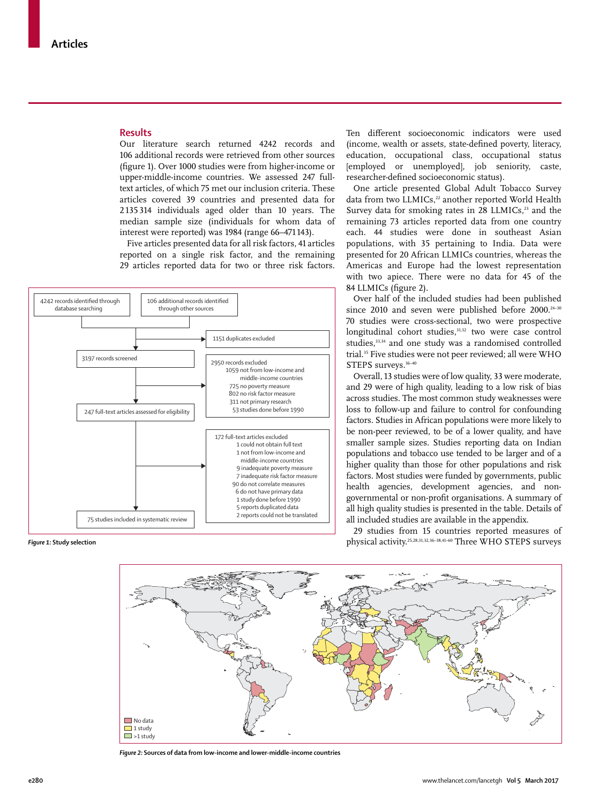# **Results**

Our literature search returned 4242 records and 106 additional records were retrieved from other sources (figure 1). Over 1000 studies were from higher-income or upper-middle-income countries. We assessed 247 fulltext articles, of which 75 met our inclusion criteria. These articles covered 39 countries and presented data for 2 135 314 individuals aged older than 10 years. The median sample size (individuals for whom data of interest were reported) was 1984 (range 66–471 143).

Five articles presented data for all risk factors, 41 articles reported on a single risk factor, and the remaining 29 articles reported data for two or three risk factors.



*Figure 1:* **Study selection**

Ten different socioeconomic indicators were used (income, wealth or assets, state-defined poverty, literacy, education, occupational class, occupational status [employed or unemployed], job seniority, caste, researcher-defined socioeconomic status).

One article presented Global Adult Tobacco Survey data from two LLMICs,<sup>22</sup> another reported World Health Survey data for smoking rates in  $28$  LLMICs,<sup>23</sup> and the remaining 73 articles reported data from one country each. 44 studies were done in southeast Asian populations, with 35 pertaining to India. Data were presented for 20 African LLMICs countries, whereas the Americas and Europe had the lowest representation with two apiece. There were no data for 45 of the 84 LLMICs (figure 2).

Over half of the included studies had been published since 2010 and seven were published before  $2000.^{24-30}$ 70 studies were cross-sectional, two were prospective longitudinal cohort studies,<sup>31,32</sup> two were case control studies,<sup>33,34</sup> and one study was a randomised controlled trial.35 Five studies were not peer reviewed; all were WHO STEPS surveys.<sup>36-40</sup>

Overall, 13 studies were of low quality, 33 were moderate, and 29 were of high quality, leading to a low risk of bias across studies. The most common study weaknesses were loss to follow-up and failure to control for confounding factors. Studies in African populations were more likely to be non-peer reviewed, to be of a lower quality, and have smaller sample sizes. Studies reporting data on Indian populations and tobacco use tended to be larger and of a higher quality than those for other populations and risk factors. Most studies were funded by governments, public health agencies, development agencies, and nongovernmental or non-profit organisations. A summary of all high quality studies is presented in the table. Details of all included studies are available in the appendix.

29 studies from 15 countries reported measures of physical activity.25,28,31,32,36–38,41–60 Three WHO STEPS surveys



*Figure 2:* **Sources of data from low-income and lower-middle-income countries**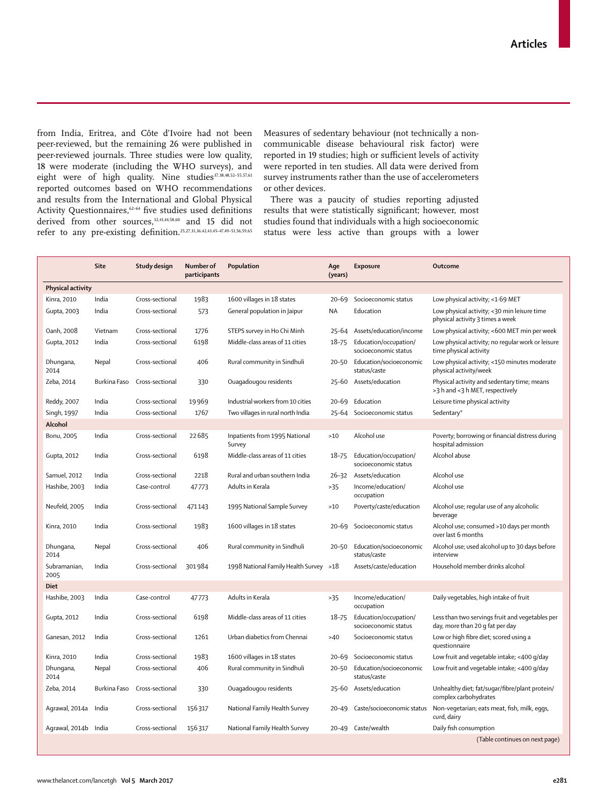from India, Eritrea, and Côte d'Ivoire had not been peer-reviewed, but the remaining 26 were published in peer-reviewed journals. Three studies were low quality, 18 were moderate (including the WHO surveys), and eight were of high quality. Nine studies<sup>37,38,48,52-55,57,61</sup> reported outcomes based on WHO recommendations and results from the International and Global Physical Activity Questionnaires, $62-64$  five studies used definitions derived from other sources,<sup>32,41,44,58,60</sup> and 15 did not refer to any pre-existing definition.<sup>25,27,31,36,42,43,45–47,49–51,56,59,65</sup>

Measures of sedentary behaviour (not technically a noncommunicable disease behavioural risk factor) were reported in 19 studies; high or sufficient levels of activity were reported in ten studies. All data were derived from survey instruments rather than the use of accelerometers or other devices.

There was a paucity of studies reporting adjusted results that were statistically significant; however, most studies found that individuals with a high socioeconomic status were less active than groups with a lower

|                      | Site         | Study design    | Number of<br>participants | Population                              | Aqe<br>(years) | <b>Exposure</b>                               | Outcome                                                                            |  |  |
|----------------------|--------------|-----------------|---------------------------|-----------------------------------------|----------------|-----------------------------------------------|------------------------------------------------------------------------------------|--|--|
| Physical activity    |              |                 |                           |                                         |                |                                               |                                                                                    |  |  |
| Kinra, 2010          | India        | Cross-sectional | 1983                      | 1600 villages in 18 states              | $20 - 69$      | Socioeconomic status                          | Low physical activity; <1.69 MET                                                   |  |  |
| Gupta, 2003          | India        | Cross-sectional | 573                       | General population in Jaipur            | <b>NA</b>      | Education                                     | Low physical activity; < 30 min leisure time<br>physical activity 3 times a week   |  |  |
| Oanh, 2008           | Vietnam      | Cross-sectional | 1776                      | STEPS survey in Ho Chi Minh             | $25 - 64$      | Assets/education/income                       | Low physical activity; <600 MET min per week                                       |  |  |
| Gupta, 2012          | India        | Cross-sectional | 6198                      | Middle-class areas of 11 cities         | $18 - 75$      | Education/occupation/<br>socioeconomic status | Low physical activity; no regular work or leisure<br>time physical activity        |  |  |
| Dhungana,<br>2014    | Nepal        | Cross-sectional | 406                       | Rural community in Sindhuli             | $20 - 50$      | Education/socioeconomic<br>status/caste       | Low physical activity; <150 minutes moderate<br>physical activity/week             |  |  |
| Zeba, 2014           | Burkina Faso | Cross-sectional | 330                       | Ouagadougou residents                   | 25-60          | Assets/education                              | Physical activity and sedentary time; means<br>>3 h and <3 h MET, respectively     |  |  |
| Reddy, 2007          | India        | Cross-sectional | 19969                     | Industrial workers from 10 cities       | $20 - 69$      | Education                                     | Leisure time physical activity                                                     |  |  |
| Singh, 1997          | India        | Cross-sectional | 1767                      | Two villages in rural north India       | 25-64          | Socioeconomic status                          | Sedentary*                                                                         |  |  |
| Alcohol              |              |                 |                           |                                         |                |                                               |                                                                                    |  |  |
| Bonu, 2005           | India        | Cross-sectional | 22685                     | Inpatients from 1995 National<br>Survey | >10            | Alcohol use                                   | Poverty; borrowing or financial distress during<br>hospital admission              |  |  |
| Gupta, 2012          | India        | Cross-sectional | 6198                      | Middle-class areas of 11 cities         | $18 - 75$      | Education/occupation/<br>socioeconomic status | Alcohol abuse                                                                      |  |  |
| Samuel, 2012         | India        | Cross-sectional | 2218                      | Rural and urban southern India          | $26 - 32$      | Assets/education                              | Alcohol use                                                                        |  |  |
| Hashibe, 2003        | India        | Case-control    | 47773                     | Adults in Kerala                        | $>35$          | Income/education/<br>occupation               | Alcohol use                                                                        |  |  |
| Neufeld, 2005        | India        | Cross-sectional | 471143                    | 1995 National Sample Survey             | >10            | Poverty/caste/education                       | Alcohol use; regular use of any alcoholic<br>beverage                              |  |  |
| Kinra, 2010          | India        | Cross-sectional | 1983                      | 1600 villages in 18 states              | $20 - 69$      | Socioeconomic status                          | Alcohol use; consumed >10 days per month<br>over last 6 months                     |  |  |
| Dhungana,<br>2014    | Nepal        | Cross-sectional | 406                       | Rural community in Sindhuli             | $20 - 50$      | Education/socioeconomic<br>status/caste       | Alcohol use; used alcohol up to 30 days before<br>interview                        |  |  |
| Subramanian,<br>2005 | India        | Cross-sectional | 301984                    | 1998 National Family Health Survey      | >18            | Assets/caste/education                        | Household member drinks alcohol                                                    |  |  |
| <b>Diet</b>          |              |                 |                           |                                         |                |                                               |                                                                                    |  |  |
| Hashibe, 2003        | India        | Case-control    | 47773                     | Adults in Kerala                        | >35            | Income/education/<br>occupation               | Daily vegetables, high intake of fruit                                             |  |  |
| Gupta, 2012          | India        | Cross-sectional | 6198                      | Middle-class areas of 11 cities         | $18 - 75$      | Education/occupation/<br>socioeconomic status | Less than two servings fruit and vegetables per<br>day, more than 20 q fat per day |  |  |
| Ganesan, 2012        | India        | Cross-sectional | 1261                      | Urban diabetics from Chennai            | >40            | Socioeconomic status                          | Low or high fibre diet; scored using a<br>questionnaire                            |  |  |
| Kinra, 2010          | India        | Cross-sectional | 1983                      | 1600 villages in 18 states              | $20 - 69$      | Socioeconomic status                          | Low fruit and vegetable intake; <400 g/day                                         |  |  |
| Dhungana,<br>2014    | Nepal        | Cross-sectional | 406                       | Rural community in Sindhuli             | $20 - 50$      | Education/socioeconomic<br>status/caste       | Low fruit and vegetable intake; <400 g/day                                         |  |  |
| Zeba, 2014           | Burkina Faso | Cross-sectional | 330                       | Ouagadougou residents                   | $25 - 60$      | Assets/education                              | Unhealthy diet; fat/sugar/fibre/plant protein/<br>complex carbohydrates            |  |  |
| Agrawal, 2014a       | India        | Cross-sectional | 156317                    | National Family Health Survey           | $20 - 49$      | Caste/socioeconomic status                    | Non-vegetarian; eats meat, fish, milk, eggs,<br>curd, dairy                        |  |  |
| Agrawal, 2014b       | India        | Cross-sectional | 156317                    | National Family Health Survey           |                | 20-49 Caste/wealth                            | Daily fish consumption                                                             |  |  |
|                      |              |                 |                           |                                         |                |                                               | (Table continues on next page)                                                     |  |  |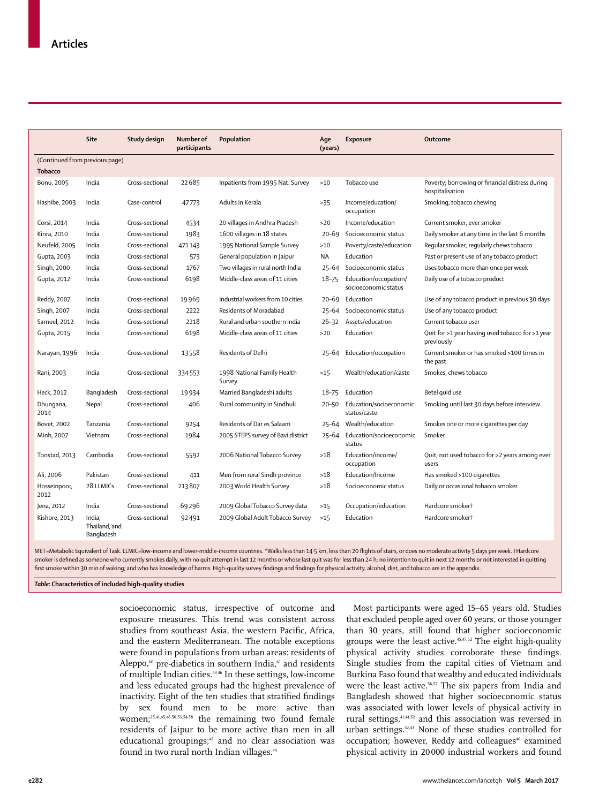|                                | Site                                  | Study design    | Number of<br>participants | Population                            | Age<br>(years) | <b>Exposure</b>                               | Outcome                                                            |  |  |
|--------------------------------|---------------------------------------|-----------------|---------------------------|---------------------------------------|----------------|-----------------------------------------------|--------------------------------------------------------------------|--|--|
| (Continued from previous page) |                                       |                 |                           |                                       |                |                                               |                                                                    |  |  |
| <b>Tobacco</b>                 |                                       |                 |                           |                                       |                |                                               |                                                                    |  |  |
| Bonu, 2005                     | India                                 | Cross-sectional | 22685                     | Inpatients from 1995 Nat. Survey      | >10            | Tobacco use                                   | Poverty; borrowing or financial distress during<br>hospitalisation |  |  |
| Hashibe, 2003                  | India                                 | Case-control    | 47773                     | Adults in Kerala                      | >35            | Income/education/<br>occupation               | Smoking, tobacco chewing                                           |  |  |
| Corsi, 2014                    | India                                 | Cross-sectional | 4534                      | 20 villages in Andhra Pradesh         | >20            | Income/education                              | Current smoker, ever smoker                                        |  |  |
| Kinra, 2010                    | India                                 | Cross-sectional | 1983                      | 1600 villages in 18 states            | $20 - 69$      | Socioeconomic status                          | Daily smoker at any time in the last 6 months                      |  |  |
| Neufeld, 2005                  | India                                 | Cross-sectional | 471143                    | 1995 National Sample Survey           | $>10$          | Poverty/caste/education                       | Regular smoker, regularly chews tobacco                            |  |  |
| Gupta, 2003                    | India                                 | Cross-sectional | 573                       | General population in Jaipur          | NA             | Education                                     | Past or present use of any tobacco product                         |  |  |
| Singh, 2000                    | India                                 | Cross-sectional | 1767                      | Two villages in rural north India     | $25 - 64$      | Socioeconomic status                          | Uses tobacco more than once per week                               |  |  |
| Gupta, 2012                    | India                                 | Cross-sectional | 6198                      | Middle-class areas of 11 cities       | $18 - 75$      | Education/occupation/<br>socioeconomic status | Daily use of a tobacco product                                     |  |  |
| Reddy, 2007                    | India                                 | Cross-sectional | 19969                     | Industrial workers from 10 cities     | $20 - 69$      | Education                                     | Use of any tobacco product in previous 30 days                     |  |  |
| Singh, 2007                    | India                                 | Cross-sectional | 2222                      | Residents of Moradabad                | $25 - 64$      | Socioeconomic status                          | Use of any tobacco product                                         |  |  |
| Samuel, 2012                   | India                                 | Cross-sectional | 2218                      | Rural and urban southern India        | $26 - 32$      | Assets/education                              | Current tobacco user                                               |  |  |
| Gupta, 2015                    | India                                 | Cross-sectional | 6198                      | Middle-class areas of 11 cities       | >20            | Education                                     | Quit for >1 year having used tobacco for >1 year<br>previously     |  |  |
| Narayan, 1996                  | India                                 | Cross-sectional | 13558                     | Residents of Delhi                    | $25 - 64$      | Education/occupation                          | Current smoker or has smoked >100 times in<br>the past             |  |  |
| Rani, 2003                     | India                                 | Cross-sectional | 334553                    | 1998 National Family Health<br>Survey | >15            | Wealth/education/caste                        | Smokes, chews tobacco                                              |  |  |
| Heck, 2012                     | Bangladesh                            | Cross-sectional | 19934                     | Married Bangladeshi adults            | $18 - 75$      | Education                                     | Betel quid use                                                     |  |  |
| Dhungana,<br>2014              | Nepal                                 | Cross-sectional | 406                       | Rural community in Sindhuli           | $20 - 50$      | Education/socioeconomic<br>status/caste       | Smoking until last 30 days before interview                        |  |  |
| Bovet, 2002                    | Tanzania                              | Cross-sectional | 9254                      | Residents of Dar es Salaam            | $25 - 64$      | Wealth/education                              | Smokes one or more cigarettes per day                              |  |  |
| Minh, 2007                     | Vietnam                               | Cross-sectional | 1984                      | 2005 STEPS survey of Bavi district    | $25 - 64$      | Education/socioeconomic<br>status             | Smoker                                                             |  |  |
| <b>Tonstad, 2013</b>           | Cambodia                              | Cross-sectional | 5592                      | 2006 National Tobacco Survey          | >18            | Education/income/<br>occupation               | Quit; not used tobacco for >2 years among ever<br>users            |  |  |
| Ali, 2006                      | Pakistan                              | Cross-sectional | 411                       | Men from rural Sindh province         | $>18$          | Education/Income                              | Has smoked >100 cigarettes                                         |  |  |
| Hosseinpoor,<br>2012           | 28 LLMICs                             | Cross-sectional | 213807                    | 2003 World Health Survey              | $>18$          | Socioeconomic status                          | Daily or occasional tobacco smoker                                 |  |  |
| lena, 2012                     | India                                 | Cross-sectional | 69296                     | 2009 Global Tobacco Survey data       | >15            | Occupation/education                          | Hardcore smokert                                                   |  |  |
| Kishore, 2013                  | India,<br>Thailand, and<br>Bangladesh | Cross-sectional | 92491                     | 2009 Global Adult Tobacco Survey      | >15            | Education                                     | Hardcore smokert                                                   |  |  |

MET=Metabolic Equivalent of Task. LLMIC=low-income and lower-middle-income countries. \*Walks less than 14-5 km, less than 20 flights of stairs, or does no moderate activity 5 days per week. †Hardcore smoker is defined as someone who currently smokes daily, with no quit attempt in last 12 months or whose last quit was for less than 24 h; no intention to quit in next 12 months or not interested in quitting first smoke within 30 min of waking; and who has knowledge of harms. High-quality survey findings and findings for physical activity, alcohol, diet, and tobacco are in the appendix.

*Table:* **Characteristics of included high-quality studies**

socioeconomic status, irrespective of outcome and exposure measures. This trend was consistent across studies from southeast Asia, the western Pacific, Africa, and the eastern Mediterranean. The notable exceptions were found in populations from urban areas: residents of Aleppo,<sup>60</sup> pre-diabetics in southern India,<sup>61</sup> and residents of multiple Indian cities.<sup>43,46</sup> In these settings, low-income and less educated groups had the highest prevalence of inactivity. Eight of the ten studies that stratified findings by sex found men to be more active than women;25,41,45,46,50,53,54,58 the remaining two found female residents of Jaipur to be more active than men in all educational groupings; $42$  and no clear association was found in two rural north Indian villages.<sup>44</sup>

Most participants were aged 15–65 years old. Studies that excluded people aged over 60 years, or those younger than 30 years, still found that higher socioeconomic groups were the least active.<sup>45,47,52</sup> The eight high-quality physical activity studies corroborate these findings. Single studies from the capital cities of Vietnam and Burkina Faso found that wealthy and educated individuals were the least active.<sup>56,57</sup> The six papers from India and Bangladesh showed that higher socioeconomic status was associated with lower levels of physical activity in rural settings,<sup>41,44,52</sup> and this association was reversed in urban settings.42,43 None of these studies controlled for occupation; however, Reddy and colleagues<sup>46</sup> examined physical activity in 20 000 industrial workers and found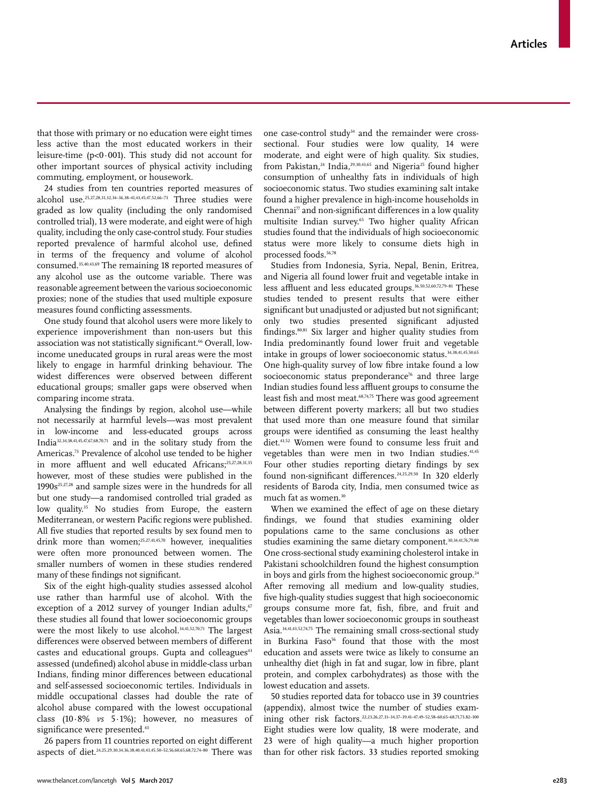that those with primary or no education were eight times less active than the most educated workers in their leisure-time (p<0·001). This study did not account for other important sources of physical activity including commuting, employment, or housework.

24 studies from ten countries reported measures of alcohol use.<sup>25,27,28,31,32,34-36,38-41,43,45,47,52,66-73</sup> Three studies were graded as low quality (including the only randomised controlled trial), 13 were moderate, and eight were of high quality, including the only case-control study. Four studies reported prevalence of harmful alcohol use, defined in terms of the frequency and volume of alcohol consumed.35,40,43,69 The remaining 18 reported measures of any alcohol use as the outcome variable. There was reasonable agreement between the various socioeconomic proxies; none of the studies that used multiple exposure measures found conflicting assessments.

One study found that alcohol users were more likely to experience impoverishment than non-users but this association was not statistically significant.<sup>66</sup> Overall, lowincome uneducated groups in rural areas were the most likely to engage in harmful drinking behaviour. The widest differences were observed between different educational groups; smaller gaps were observed when comparing income strata.

Analysing the findings by region, alcohol use—while not necessarily at harmful levels—was most prevalent in low-income and less-educated groups across India32,34,38,41,45,47,67,68,70,71 and in the solitary study from the Americas.<sup>73</sup> Prevalence of alcohol use tended to be higher in more affluent and well educated Africans;<sup>25,27,28,31,35</sup> however, most of these studies were published in the  $1990s^{25,27,28}$  and sample sizes were in the hundreds for all but one study—a randomised controlled trial graded as low quality.<sup>35</sup> No studies from Europe, the eastern Mediterranean, or western Pacific regions were published. All five studies that reported results by sex found men to drink more than women;<sup>25,27,41,45,70</sup> however, inequalities were often more pronounced between women. The smaller numbers of women in these studies rendered many of these findings not significant.

Six of the eight high-quality studies assessed alcohol use rather than harmful use of alcohol. With the exception of a 2012 survey of younger Indian adults, $67$ these studies all found that lower socioeconomic groups were the most likely to use alcohol.<sup>34,41,52,70,71</sup> The largest differences were observed between members of different castes and educational groups. Gupta and colleagues<sup>43</sup> assessed (undefined) alcohol abuse in middle-class urban Indians, finding minor differences between educational and self-assessed socioeconomic tertiles. Individuals in middle occupational classes had double the rate of alcohol abuse compared with the lowest occupational class (10·8% *vs* 5·1%); however, no measures of significance were presented.<sup>43</sup>

26 papers from 11 countries reported on eight different aspects of diet.24,25,29,30,34,36,38,40,41,43,45,50–52,56,60,65,68,72,74–80 There was one case-control study<sup>34</sup> and the remainder were crosssectional. Four studies were low quality, 14 were moderate, and eight were of high quality. Six studies, from Pakistan,<sup>24</sup> India,<sup>29,30,43,65</sup> and Nigeria<sup>25</sup> found higher consumption of unhealthy fats in individuals of high socioeconomic status. Two studies examining salt intake found a higher prevalence in high-income households in Chennai $\pi$  and non-significant differences in a low quality multisite Indian survey.<sup>65</sup> Two higher quality African studies found that the individuals of high socioeconomic status were more likely to consume diets high in processed foods.56,78

Studies from Indonesia, Syria, Nepal, Benin, Eritrea, and Nigeria all found lower fruit and vegetable intake in less affluent and less educated groups.<sup>36,50,52,60,72,79-81</sup> These studies tended to present results that were either significant but unadjusted or adjusted but not significant; only two studies presented significant adjusted findings.<sup>80,81</sup> Six larger and higher quality studies from India predominantly found lower fruit and vegetable intake in groups of lower socioeconomic status.<sup>34,38,41,45,50,65</sup> One high-quality survey of low fibre intake found a low socioeconomic status preponderance<sup>76</sup> and three large Indian studies found less affluent groups to consume the least fish and most meat.<sup>68,74,75</sup> There was good agreement between different poverty markers; all but two studies that used more than one measure found that similar groups were identified as consuming the least healthy diet.<sup>43,52</sup> Women were found to consume less fruit and vegetables than were men in two Indian studies.41,45 Four other studies reporting dietary findings by sex found non-significant differences.<sup>24,25,29,50</sup> In 320 elderly residents of Baroda city, India, men consumed twice as much fat as women.<sup>30</sup>

When we examined the effect of age on these dietary findings, we found that studies examining older populations came to the same conclusions as other studies examining the same dietary component.<sup>30,34,41,76,79,80</sup> One cross-sectional study examining cholesterol intake in Pakistani schoolchildren found the highest consumption in boys and girls from the highest socioeconomic group.<sup>24</sup> After removing all medium and low-quality studies, five high-quality studies suggest that high socioeconomic groups consume more fat, fish, fibre, and fruit and vegetables than lower socioeconomic groups in southeast Asia.34,41,43,52,74,75 The remaining small cross-sectional study in Burkina Faso<sup>56</sup> found that those with the most education and assets were twice as likely to consume an unhealthy diet (high in fat and sugar, low in fibre, plant protein, and complex carbohydrates) as those with the lowest education and assets.

50 studies reported data for tobacco use in 39 countries (appendix), almost twice the number of studies examining other risk factors.<sup>22,23,26,27,31-34,37-39,41-47,49-52,58-60,65-68,71,73,82-100</sub></sup> Eight studies were low quality, 18 were moderate, and 23 were of high quality—a much higher proportion than for other risk factors. 33 studies reported smoking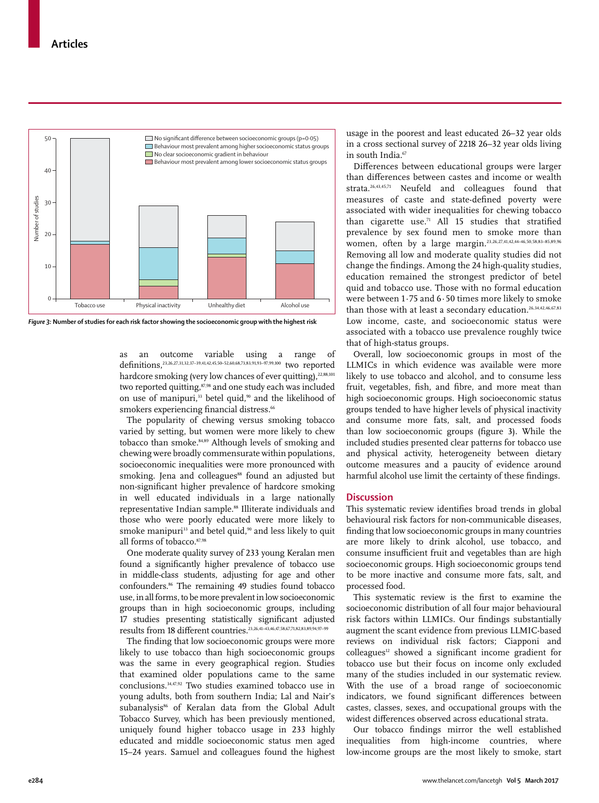

*Figure 3:* **Number of studies for each risk factor showing the socioeconomic group with the highest risk**

as an outcome variable using a range of definitions,<sup>23,26,27,31,32,37–39,41,42,45,50–52,60,68,73,83,91,93–97,99,100</sup> two reported hardcore smoking (very low chances of ever quitting),<sup>22,88,101</sup> two reported quitting, 87,98 and one study each was included on use of manipuri,<sup>33</sup> betel quid,<sup>90</sup> and the likelihood of smokers experiencing financial distress.<sup>66</sup>

The popularity of chewing versus smoking tobacco varied by setting, but women were more likely to chew tobacco than smoke.<sup>84,89</sup> Although levels of smoking and chewing were broadly commensurate within populations, socioeconomic inequalities were more pronounced with smoking. Jena and colleagues<sup>88</sup> found an adjusted but non-significant higher prevalence of hardcore smoking in well educated individuals in a large nationally representative Indian sample.<sup>88</sup> Illiterate individuals and those who were poorly educated were more likely to smoke manipuri<sup>33</sup> and betel quid,<sup>90</sup> and less likely to quit all forms of tobacco.<sup>87,98</sup>

One moderate quality survey of 233 young Keralan men found a significantly higher prevalence of tobacco use in middle-class students, adjusting for age and other confounders.<sup>86</sup> The remaining 49 studies found tobacco use, in all forms, to be more prevalent in low socioeconomic groups than in high socioeconomic groups, including 17 studies presenting statistically significant adjusted results from 18 different countries.<sup>23,26,41–43,46,47,58,67,71,82,83,89,94,97–99</sup>

The finding that low socioeconomic groups were more likely to use tobacco than high socioeconomic groups was the same in every geographical region. Studies that examined older populations came to the same conclusions.34,47,92 Two studies examined tobacco use in young adults, both from southern India; Lal and Nair's subanalysis<sup>86</sup> of Keralan data from the Global Adult Tobacco Survey, which has been previously mentioned, uniquely found higher tobacco usage in 233 highly educated and middle socioeconomic status men aged 15–24 years. Samuel and colleagues found the highest usage in the poorest and least educated 26–32 year olds in a cross sectional survey of 2218 26–32 year olds living in south India.<sup>67</sup>

Differences between educational groups were larger than differences between castes and income or wealth strata.26,43,45,71 Neufeld and colleagues found that measures of caste and state-defined poverty were associated with wider inequalities for chewing tobacco than cigarette use. $71$  All 15 studies that stratified prevalence by sex found men to smoke more than women, often by a large margin.<sup>23,26,27,41,42,44-46,50,58,83-85,89,96</sup> Removing all low and moderate quality studies did not change the findings. Among the 24 high-quality studies, education remained the strongest predictor of betel quid and tobacco use. Those with no formal education were between 1·75 and 6·50 times more likely to smoke than those with at least a secondary education.<sup>26,34,42,46,67,83</sup> Low income, caste, and socioeconomic status were associated with a tobacco use prevalence roughly twice that of high-status groups.

Overall, low socioeconomic groups in most of the LLMICs in which evidence was available were more likely to use tobacco and alcohol, and to consume less fruit, vegetables, fish, and fibre, and more meat than high socioeconomic groups. High socioeconomic status groups tended to have higher levels of physical inactivity and consume more fats, salt, and processed foods than low socioeconomic groups (figure 3). While the included studies presented clear patterns for tobacco use and physical activity, heterogeneity between dietary outcome measures and a paucity of evidence around harmful alcohol use limit the certainty of these findings.

#### **Discussion**

This systematic review identifies broad trends in global behavioural risk factors for non-communicable diseases, finding that low socioeconomic groups in many countries are more likely to drink alcohol, use tobacco, and consume insufficient fruit and vegetables than are high socioeconomic groups. High socioeconomic groups tend to be more inactive and consume more fats, salt, and processed food.

This systematic review is the first to examine the socioeconomic distribution of all four major behavioural risk factors within LLMICs. Our findings substantially augment the scant evidence from previous LLMIC-based reviews on individual risk factors; Ciapponi and colleagues<sup>12</sup> showed a significant income gradient for tobacco use but their focus on income only excluded many of the studies included in our systematic review. With the use of a broad range of socioeconomic indicators, we found significant differences between castes, classes, sexes, and occupational groups with the widest differences observed across educational strata.

Our tobacco findings mirror the well established inequalities from high-income countries, where low-income groups are the most likely to smoke, start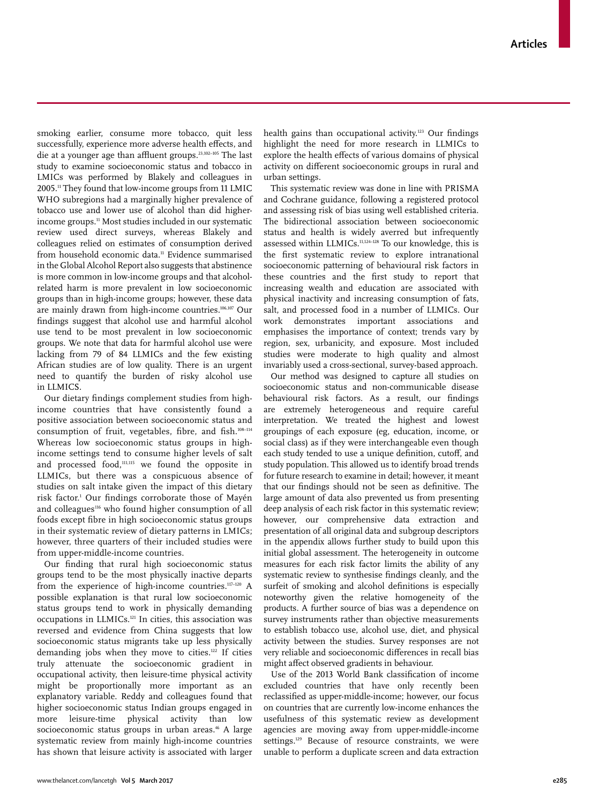smoking earlier, consume more tobacco, quit less successfully, experience more adverse health effects, and die at a younger age than affluent groups.<sup>23,102-105</sup> The last study to examine socioeconomic status and tobacco in LMICs was performed by Blakely and colleagues in 2005.11 They found that low-income groups from 11 LMIC WHO subregions had a marginally higher prevalence of tobacco use and lower use of alcohol than did higherincome groups.11 Most studies included in our systematic review used direct surveys, whereas Blakely and colleagues relied on estimates of consumption derived from household economic data.<sup>11</sup> Evidence summarised in the Global Alcohol Report also suggests that abstinence is more common in low-income groups and that alcoholrelated harm is more prevalent in low socioeconomic groups than in high-income groups; however, these data are mainly drawn from high-income countries.106,107 Our findings suggest that alcohol use and harmful alcohol use tend to be most prevalent in low socioeconomic groups. We note that data for harmful alcohol use were lacking from 79 of 84 LLMICs and the few existing African studies are of low quality. There is an urgent need to quantify the burden of risky alcohol use in LLMICS.

Our dietary findings complement studies from highincome countries that have consistently found a positive association between socioeconomic status and consumption of fruit, vegetables, fibre, and fish.<sup>108-114</sup> Whereas low socioeconomic status groups in highincome settings tend to consume higher levels of salt and processed food,<sup>111,115</sup> we found the opposite in LLMICs, but there was a conspicuous absence of studies on salt intake given the impact of this dietary risk factor.1 Our fi ndings corroborate those of Mayén and colleagues<sup>116</sup> who found higher consumption of all foods except fibre in high socioeconomic status groups in their systematic review of dietary patterns in LMICs; however, three quarters of their included studies were from upper-middle-income countries.

Our finding that rural high socioeconomic status groups tend to be the most physically inactive departs from the experience of high-income countries.117–120 A possible explanation is that rural low socioeconomic status groups tend to work in physically demanding occupations in LLMICs.121 In cities, this association was reversed and evidence from China suggests that low socioeconomic status migrants take up less physically demanding jobs when they move to cities.<sup>122</sup> If cities truly attenuate the socioeconomic gradient in occupational activity, then leisure-time physical activity might be proportionally more important as an explanatory variable. Reddy and colleagues found that higher socioeconomic status Indian groups engaged in more leisure-time physical activity than low socioeconomic status groups in urban areas.<sup>46</sup> A large systematic review from mainly high-income countries has shown that leisure activity is associated with larger health gains than occupational activity.<sup>123</sup> Our findings highlight the need for more research in LLMICs to explore the health effects of various domains of physical activity on different socioeconomic groups in rural and urban settings.

This systematic review was done in line with PRISMA and Cochrane guidance, following a registered protocol and assessing risk of bias using well established criteria. The bidirectional association between socioeconomic status and health is widely averred but infrequently assessed within LLMICs.<sup>11,124-128</sup> To our knowledge, this is the first systematic review to explore intranational socioeconomic patterning of behavioural risk factors in these countries and the first study to report that increasing wealth and education are associated with physical inactivity and increasing consumption of fats, salt, and processed food in a number of LLMICs. Our work demonstrates important associations and emphasises the importance of context; trends vary by region, sex, urbanicity, and exposure. Most included studies were moderate to high quality and almost invariably used a cross-sectional, survey-based approach.

Our method was designed to capture all studies on socioeconomic status and non-communicable disease behavioural risk factors. As a result, our findings are extremely heterogeneous and require careful interpretation. We treated the highest and lowest groupings of each exposure (eg, education, income, or social class) as if they were interchangeable even though each study tended to use a unique definition, cutoff, and study population. This allowed us to identify broad trends for future research to examine in detail; however, it meant that our findings should not be seen as definitive. The large amount of data also prevented us from presenting deep analysis of each risk factor in this systematic review; however, our comprehensive data extraction and presentation of all original data and subgroup descriptors in the appendix allows further study to build upon this initial global assessment. The heterogeneity in outcome measures for each risk factor limits the ability of any systematic review to synthesise findings cleanly, and the surfeit of smoking and alcohol definitions is especially noteworthy given the relative homogeneity of the products. A further source of bias was a dependence on survey instruments rather than objective measurements to establish tobacco use, alcohol use, diet, and physical activity between the studies. Survey responses are not very reliable and socioeconomic differences in recall bias might affect observed gradients in behaviour.

Use of the 2013 World Bank classification of income excluded countries that have only recently been reclassified as upper-middle-income; however, our focus on countries that are currently low-income enhances the usefulness of this systematic review as development agencies are moving away from upper-middle-income settings.<sup>129</sup> Because of resource constraints, we were unable to perform a duplicate screen and data extraction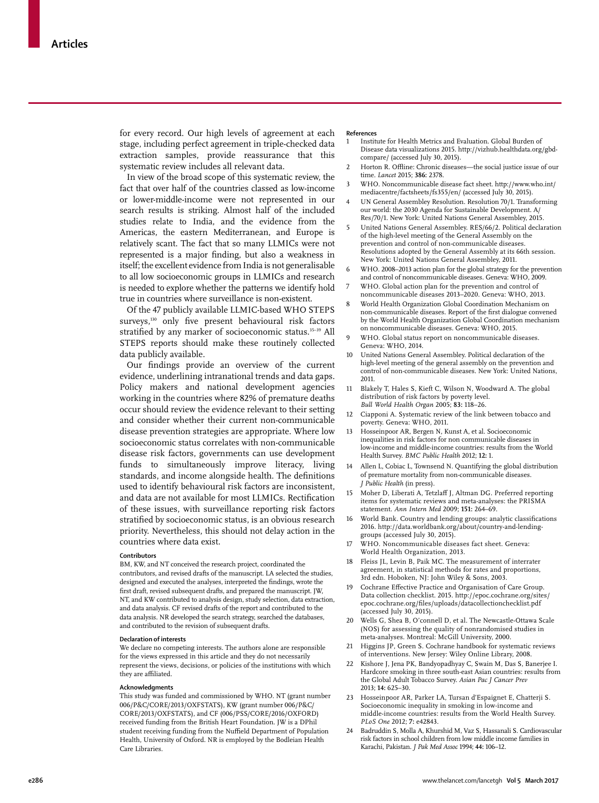for every record. Our high levels of agreement at each stage, including perfect agreement in triple-checked data extraction samples, provide reassurance that this systematic review includes all relevant data.

In view of the broad scope of this systematic review, the fact that over half of the countries classed as low-income or lower-middle-income were not represented in our search results is striking. Almost half of the included studies relate to India, and the evidence from the Americas, the eastern Mediterranean, and Europe is relatively scant. The fact that so many LLMICs were not represented is a major finding, but also a weakness in itself; the excellent evidence from India is not generalisable to all low socioeconomic groups in LLMICs and research is needed to explore whether the patterns we identify hold true in countries where surveillance is non-existent.

Of the 47 publicly available LLMIC-based WHO STEPS surveys,<sup>130</sup> only five present behavioural risk factors stratified by any marker of socioeconomic status.<sup>35-39</sup> All STEPS reports should make these routinely collected data publicly available.

Our findings provide an overview of the current evidence, underlining intranational trends and data gaps. Policy makers and national development agencies working in the countries where 82% of premature deaths occur should review the evidence relevant to their setting and consider whether their current non-communicable disease prevention strategies are appropriate. Where low socioeconomic status correlates with non-communicable disease risk factors, governments can use development funds to simultaneously improve literacy, living standards, and income alongside health. The definitions used to identify behavioural risk factors are inconsistent, and data are not available for most LLMICs. Rectification of these issues, with surveillance reporting risk factors stratified by socioeconomic status, is an obvious research priority. Nevertheless, this should not delay action in the countries where data exist.

#### **Contributors**

BM, KW, and NT conceived the research project, coordinated the contributors, and revised drafts of the manuscript. LA selected the studies, designed and executed the analyses, interpreted the findings, wrote the first draft, revised subsequent drafts, and prepared the manuscript. JW, NT, and KW contributed to analysis design, study selection, data extraction, and data analysis. CF revised drafts of the report and contributed to the data analysis. NR developed the search strategy, searched the databases, and contributed to the revision of subsequent drafts.

#### **Declaration of interests**

We declare no competing interests. The authors alone are responsible for the views expressed in this article and they do not necessarily represent the views, decisions, or policies of the institutions with which they are affiliated.

#### **Acknowledgments**

This study was funded and commissioned by WHO. NT (grant number 006/P&C/CORE/2013/OXFSTATS), KW (grant number 006/P&C/ CORE/2013/OXFSTATS), and CF (006/PSS/CORE/2016/OXFORD) received funding from the British Heart Foundation. JW is a DPhil student receiving funding from the Nuffield Department of Population Health, University of Oxford. NR is employed by the Bodleian Health Care Libraries.

- **References** 1 Institute for Health Metrics and Evaluation. Global Burden of Disease data visualizations 2015. http://vizhub.healthdata.org/gbdcompare/ (accessed July 30, 2015).
- Horton R. Offline: Chronic diseases—the social justice issue of our time. *Lancet* 2015; **386:** 2378.
- 3 WHO. Noncommunicable disease fact sheet. http://www.who.int/ mediacentre/factsheets/fs355/en/ (accessed July 30, 2015).
- 4 UN General Assembley Resolution. Resolution 70/1. Transforming our world: the 2030 Agenda for Sustainable Development. A/ Res/70/1. New York: United Nations General Assembley, 2015.
- 5 United Nations General Assembley. RES/66/2. Political declaration of the high-level meeting of the General Assembly on the prevention and control of non-communicable diseases Resolutions adopted by the General Assembly at its 66th session. New York: United Nations General Assembley, 2011.
- 6 WHO. 2008–2013 action plan for the global strategy for the prevention and control of noncommunicable diseases. Geneva: WHO, 2009.
- 7 WHO. Global action plan for the prevention and control of noncommunicable diseases 2013–2020. Geneva: WHO, 2013.
- 8 World Health Organization Global Coordination Mechanism on non-communicable diseases. Report of the first dialogue convened by the World Health Organization Global Coordination mechanism on noncommunicable diseases. Geneva: WHO, 2015.
- WHO. Global status report on noncommunicable diseases. Geneva: WHO, 2014.
- 10 United Nations General Assembley. Political declaration of the high-level meeting of the general assembly on the prevention and control of non-communicable diseases. New York: United Nations, 2011.
- 11 Blakely T, Hales S, Kieft C, Wilson N, Woodward A. The global distribution of risk factors by poverty level. *Bull World Health Organ* 2005; **83:** 118–26.
- 12 Ciapponi A. Systematic review of the link between tobacco and poverty. Geneva: WHO, 2011.
- 13 Hosseinpoor AR, Bergen N, Kunst A, et al. Socioeconomic inequalities in risk factors for non communicable diseases in low-income and middle-income countries: results from the World Health Survey. *BMC Public Health* 2012; **12:** 1.
- 14 Allen L, Cobiac L, Townsend N. Quantifying the global distribution of premature mortality from non-communicable diseases. *J Public Health* (in press).
- 15 Moher D, Liberati A, Tetzlaff J, Altman DG. Preferred reporting items for systematic reviews and meta-analyses: the PRISMA statement. *Ann Intern Med* 2009; **151:** 264–69.
- World Bank. Country and lending groups: analytic classifications 2016. http://data.worldbank.org/about/country-and-lendinggroups (accessed July 30, 2015).
- 17 WHO. Noncommunicable diseases fact sheet. Geneva: World Health Organization, 2013.
- 18 Fleiss JL, Levin B, Paik MC. The measurement of interrater agreement, in statistical methods for rates and proportions, 3rd edn. Hoboken, NJ: John Wiley & Sons, 2003.
- 19 Cochrane Effective Practice and Organisation of Care Group. Data collection checklist. 2015. http://epoc.cochrane.org/sites/ epoc.cochrane.org/files/uploads/datacollectionchecklist.pdf (accessed July 30, 2015).
- 20 Wells G, Shea B, O'connell D, et al. The Newcastle-Ottawa Scale (NOS) for assessing the quality of nonrandomised studies in meta-analyses. Montreal: McGill University, 2000.
- 21 Higgins JP, Green S. Cochrane handbook for systematic reviews of interventions. New Jersey: Wiley Online Library, 2008.
- 22 Kishore J, Jena PK, Bandyopadhyay C, Swain M, Das S, Banerjee I. Hardcore smoking in three south-east Asian countries: results from the Global Adult Tobacco Survey. *Asian Pac J Cancer Prev* 2013; **14:** 625–30.
- 23 Hosseinpoor AR, Parker LA, Tursan d'Espaignet E, Chatterji S. Socioeconomic inequality in smoking in low-income and middle-income countries: results from the World Health Survey. *PLoS One* 2012; **7:** e42843.
- 24 Badruddin S, Molla A, Khurshid M, Vaz S, Hassanali S. Cardiovascular risk factors in school children from low middle income families in Karachi, Pakistan. *J Pak Med Assoc* 1994; **44:** 106–12.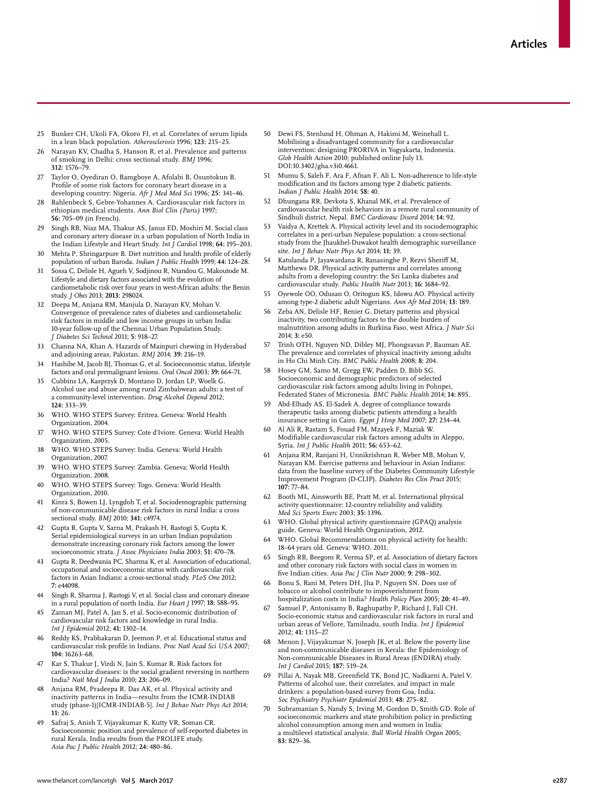- 25 Bunker CH, Ukoli FA, Okoro FI, et al. Correlates of serum lipids in a lean black population. *Atherosclerosis* 1996; **123:** 215–25.
- 26 Narayan KV, Chadha S, Hanson R, et al. Prevalence and patterns of smoking in Delhi: cross sectional study. *BMJ* 1996; **312:** 1576–79.
- 27 Taylor O, Oyediran O, Bamgboye A, Afolabi B, Osuntokun B. Profile of some risk factors for coronary heart disease in a developing country: Nigeria. *Afr J Med Med Sci* 1996; **25:** 341–46.
- Rahlenbeck S, Gebre-Yohannes A. Cardiovascular risk factors in ethiopian medical students. *Ann Biol Clin (Paris)* 1997; **56:** 705–09 (in French).
- 29 Singh RB, Niaz MA, Thakur AS, Janus ED, Moshiri M. Social class and coronary artery disease in a urban population of North India in the Indian Lifestyle and Heart Study. *Int J Cardiol* 1998; **64:** 195–203.
- Mehta P, Shringarpure B. Diet nutrition and health profile of elderly population of urban Baroda. *Indian J Public Health* 1999; **44:** 124–28.
- 31 Sossa C, Delisle H, Agueh V, Sodjinou R, Ntandou G, Makoutode M. Lifestyle and dietary factors associated with the evolution of cardiometabolic risk over four years in west-African adults: the Benin study. *J Obes* 2013; **2013:** 298024.
- 32 Deepa M, Anjana RM, Manjula D, Narayan KV, Mohan V. Convergence of prevalence rates of diabetes and cardiometabolic risk factors in middle and low income groups in urban India: 10-year follow-up of the Chennai Urban Population Study. *J Diabetes Sci Technol* 2011; **5:** 918–27.
- 33 Channa NA, Khan A. Hazards of Mainpuri chewing in Hyderabad and adjoining areas, Pakistan. *RMJ* 2014; **39:** 216–19.
- 34 Hashibe M, Jacob BJ, Thomas G, et al. Socioeconomic status, lifestyle factors and oral premalignant lesions. *Oral Oncol* 2003; **39:** 664–71.
- 35 Cubbins LA, Kasprzyk D, Montano D, Jordan LP, Woelk G. Alcohol use and abuse among rural Zimbabwean adults: a test of a community-level intervention. *Drug Alcohol Depend* 2012; **124:** 333–39.
- 36 WHO. WHO STEPS Survey: Eritrea. Geneva: World Health Organization, 2004.
- 37 WHO. WHO STEPS Survey: Cote d'Iviore. Geneva: World Health Organization, 2005.
- 38 WHO. WHO STEPS Survey: India. Geneva: World Health Organization, 2007.
- 39 WHO. WHO STEPS Survey: Zambia. Geneva: World Health Organization, 2008.
- 40 WHO. WHO STEPS Survey: Togo. Geneva: World Health Organization, 2010.
- 41 Kinra S, Bowen LJ, Lyngdoh T, et al. Sociodemographic patterning of non-communicable disease risk factors in rural India: a cross sectional study. *BMJ* 2010; **341:** c4974.
- 42 Gupta R, Gupta V, Sarna M, Prakash H, Rastogi S, Gupta K. Serial epidemiological surveys in an urban Indian population demonstrate increasing coronary risk factors among the lower socioeconomic strata. *J Assoc Physicians India* 2003; **51:** 470–78.
- 43 Gupta R, Deedwania PC, Sharma K, et al. Association of educational, occupational and socioeconomic status with cardiovascular risk factors in Asian Indians: a cross-sectional study. *PLoS One* 2012; **7:** e44098.
- Singh R, Sharma J, Rastogi V, et al. Social class and coronary disease in a rural population of north India. *Eur Heart J* 1997; **18:** 588–95.
- 45 Zaman MJ, Patel A, Jan S, et al. Socio-economic distribution of cardiovascular risk factors and knowledge in rural India. *Int J Epidemiol* 2012; **41:** 1302–14.
- 46 Reddy KS, Prabhakaran D, Jeemon P, et al. Educational status and cardiovascular risk profile in Indians. Proc Natl Acad Sci USA 2007; **104:** 16263–68.
- Kar S, Thakur J, Virdi N, Jain S, Kumar R. Risk factors for cardiovascular diseases: is the social gradient reversing in northern India? *Natl Med J India* 2010; **23:** 206–09.
- Anjana RM, Pradeepa R, Das AK, et al. Physical activity and inactivity patterns in India—results from the ICMR-INDIAB study (phase-1)[ICMR-INDIAB-5]. *Int J Behav Nutr Phys Act* 2014; **11:** 26.
- 49 Safraj S, Anish T, Vijayakumar K, Kutty VR, Soman CR. Socioeconomic position and prevalence of self-reported diabetes in rural Kerala, India results from the PROLIFE study. *Asia Pac J Public Health* 2012; **24:** 480–86.
- 50 Dewi FS, Stenlund H, Ohman A, Hakimi M, Weinehall L. Mobilising a disadvantaged community for a cardiovascular intervention: designing PRORIVA in Yogyakarta, Indonesia. *Glob Health Action* 2010; published online July 13. DOI:10.3402/gha.v3i0.4661.
- 51 Mumu S, Saleh F, Ara F, Afnan F, Ali L. Non-adherence to life-style modification and its factors among type 2 diabetic patients. *Indian J Public Health* 2014; **58:** 40.
- 52 Dhungana RR, Devkota S, Khanal MK, et al. Prevalence of cardiovascular health risk behaviors in a remote rural community of Sindhuli district, Nepal. *BMC Cardiovasc Disord* 2014; **14:** 92.
- 53 Vaidya A, Krettek A. Physical activity level and its sociodemographic correlates in a peri-urban Nepalese population: a cross-sectional study from the Jhaukhel-Duwakot health demographic surveillance site. *Int J Behav Nutr Phys Act* 2014; **11:** 39.
- 54 Katulanda P, Jayawardana R, Ranasinghe P, Rezvi Sheriff M, Matthews DR. Physical activity patterns and correlates among adults from a developing country: the Sri Lanka diabetes and cardiovascular study. *Public Health Nutr* 2013; **16:** 1684–92.
- 55 Oyewole OO, Odusan O, Oritogun KS, Idowu AO. Physical activity among type-2 diabetic adult Nigerians. *Ann Afr Med* 2014; **13:** 189.
- 56 Zeba AN, Delisle HF, Renier G. Dietary patterns and physical inactivity, two contributing factors to the double burden of malnutrition among adults in Burkina Faso, west Africa. *J Nutr Sci* 2014; **3:** e50.
- 57 Trinh OTH, Nguyen ND, Dibley MJ, Phongsavan P, Bauman AE. The prevalence and correlates of physical inactivity among adults in Ho Chi Minh City. *BMC Public Health* 2008; **8:** 204.
- 58 Hosey GM, Samo M, Gregg EW, Padden D, Bibb SG. Socioeconomic and demographic predictors of selected cardiovascular risk factors among adults living in Pohnpei, Federated States of Micronesia. *BMC Public Health* 2014; **14:** 895.
- Abd-Elhady AS, El-Sadek A. degree of compliance towards therapeutic tasks among diabetic patients attending a health insurance setting in Cairo. *Egypt J Hosp Med* 2007; **27:** 234–44.
- 60 Al Ali R, Rastam S, Fouad FM, Mzayek F, Maziak W. Modifiable cardiovascular risk factors among adults in Aleppo, Syria. *Int J Public Health* 2011; **56:** 653–62.
- 61 Anjana RM, Ranjani H, Unnikrishnan R, Weber MB, Mohan V, Narayan KM. Exercise patterns and behaviour in Asian Indians: data from the baseline survey of the Diabetes Community Lifestyle Improvement Program (D-CLIP). *Diabetes Res Clin Pract* 2015; **107:** 77–84.
- 62 Booth ML, Ainsworth BE, Pratt M, et al. International physical activity questionnaire: 12-country reliability and validity. *Med Sci Sports Exerc* 2003; **35:** 1396.
- WHO. Global physical activity questionnaire (GPAQ) analysis guide. Geneva: World Health Organization, 2012.
- WHO. Global Recommendations on physical activity for health: 18–64 years old. Geneva: WHO, 2011.
- 65 Singh RB, Beegom R, Verma SP, et al. Association of dietary factors and other coronary risk factors with social class in women in fi ve Indian cities. *Asia Pac J Clin Nutr* 2000; **9:** 298–302.
- 66 Bonu S, Rani M, Peters DH, Jha P, Nguyen SN. Does use of tobacco or alcohol contribute to impoverishment from hospitalization costs in India? *Health Policy Plan* 2005; **20:** 41–49.
- 67 Samuel P, Antonisamy B, Raghupathy P, Richard J, Fall CH. Socio-economic status and cardiovascular risk factors in rural and urban areas of Vellore, Tamilnadu, south India. *Int J Epidemiol* 2012; **41:** 1315–27.
- 68 Menon J, Vijayakumar N, Joseph JK, et al. Below the poverty line and non-communicable diseases in Kerala: the Epidemiology of Non-communicable Diseases in Rural Areas (ENDIRA) study. *Int J Cardiol* 2015; **187:** 519–24.
- 69 Pillai A, Nayak MB, Greenfield TK, Bond JC, Nadkarni A, Patel V. Patterns of alcohol use, their correlates, and impact in male drinkers: a population-based survey from Goa, India. *Soc Psychiatry Psychiatr Epidemiol* 2013; **48:** 275–82.
- 70 Subramanian S, Nandy S, Irving M, Gordon D, Smith GD. Role of socioeconomic markers and state prohibition policy in predicting alcohol consumption among men and women in India: a multilevel statistical analysis. *Bull World Health Organ* 2005; **83:** 829–36.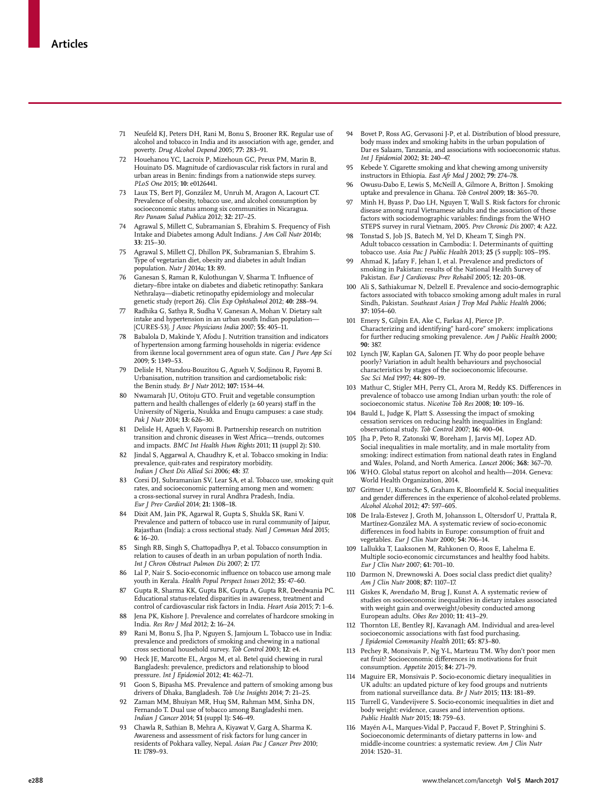- 71 Neufeld KJ, Peters DH, Rani M, Bonu S, Brooner RK. Regular use of alcohol and tobacco in India and its association with age, gender, and poverty. *Drug Alcohol Depend* 2005; **77:** 283–91.
- 72 Houehanou YC, Lacroix P, Mizehoun GC, Preux PM, Marin B, Houinato DS. Magnitude of cardiovascular risk factors in rural and urban areas in Benin: findings from a nationwide steps survey. *PLoS One* 2015; **10:** e0126441.
- 73 Laux TS, Bert PJ, González M, Unruh M, Aragon A, Lacourt CT. Prevalence of obesity, tobacco use, and alcohol consumption by socioeconomic status among six communities in Nicaragua. *Rev Panam Salud Publica* 2012; **32:** 217–25.
- 74 Agrawal S, Millett C, Subramanian S, Ebrahim S. Frequency of Fish Intake and Diabetes among Adult Indians. *J Am Coll Nutr* 2014b; **33:** 215–30.
- 75 Agrawal S, Millett CJ, Dhillon PK, Subramanian S, Ebrahim S. Type of vegetarian diet, obesity and diabetes in adult Indian population. *Nutr J* 2014a; **13:** 89.
- 76 Ganesan S, Raman R, Kulothungan V, Sharma T. Influence of dietary–fibre intake on diabetes and diabetic retinopathy: Sankara Nethralaya—diabetic retinopathy epidemiology and molecular genetic study (report 26). *Clin Exp Ophthalmol* 2012; **40:** 288–94.
- 77 Radhika G, Sathya R, Sudha V, Ganesan A, Mohan V. Dietary salt intake and hypertension in an urban south Indian population— [CURES-53]. *J Assoc Physicians India* 2007; **55:** 405–11.
- Babalola D, Makinde Y, Afodu J. Nutrition transition and indicators of hypertension among farming households in nigeria: evidence from ikenne local government area of ogun state. *Can J Pure App Sci*  2009; **5:** 1349–53.
- 79 Delisle H, Ntandou-Bouzitou G, Agueh V, Sodjinou R, Fayomi B. Urbanisation, nutrition transition and cardiometabolic risk: the Benin study. *Br J Nutr* 2012; **107:** 1534–44.
- 80 Nwamarah JU, Otitoju GTO. Fruit and vegetable consumption pattern and health challenges of elderly ( $\geq 60$  years) staff in the University of Nigeria, Nsukka and Enugu campuses: a case study. *Pak J Nutr* 2014; **13:** 626–30.
- 81 Delisle H, Agueh V, Fayomi B. Partnership research on nutrition transition and chronic diseases in West Africa—trends, outcomes and impacts. *BMC Int Health Hum Rights* 2011; **11** (suppl 2)**:** S10.
- 82 Jindal S, Aggarwal A, Chaudhry K, et al. Tobacco smoking in India: prevalence, quit-rates and respiratory morbidity. *Indian J Chest Dis Allied Sci* 2006; **48:** 37.
- 83 Corsi DJ, Subramanian SV, Lear SA, et al. Tobacco use, smoking quit rates, and socioeconomic patterning among men and women: a cross-sectional survey in rural Andhra Pradesh, India. *Eur J Prev Cardiol* 2014; **21:** 1308–18.
- 84 Dixit AM, Jain PK, Agarwal R, Gupta S, Shukla SK, Rani V. Prevalence and pattern of tobacco use in rural community of Jaipur, Rajasthan (India): a cross sectional study. *Natl J Commun Med* 2015; **6:** 16–20.
- 85 Singh RB, Singh S, Chattopadhya P, et al. Tobacco consumption in relation to causes of death in an urban population of north India. *Int J Chron Obstruct Pulmon Dis* 2007; **2:** 177.
- 86 Lal P, Nair S. Socio-economic influence on tobacco use among male youth in Kerala. *Health Popul Perspect Issues* 2012; **35:** 47–60.
- 87 Gupta R, Sharma KK, Gupta BK, Gupta A, Gupta RR, Deedwania PC. Educational status-related disparities in awareness, treatment and control of cardiovascular risk factors in India. *Heart Asia* 2015; **7:** 1–6.
- 88 Jena PK, Kishore J. Prevalence and correlates of hardcore smoking in India. *Res Rev J Med* 2012; **2:** 16–24.
- 89 Rani M, Bonu S, Jha P, Nguyen S, Jamjoum L. Tobacco use in India: prevalence and predictors of smoking and chewing in a national cross sectional household survey. *Tob Control* 2003; **12:** e4.
- 90 Heck JE, Marcotte EL, Argos M, et al. Betel quid chewing in rural Bangladesh: prevalence, predictors and relationship to blood pressure. *Int J Epidemiol* 2012; **41:** 462–71.
- 91 Goon S, Bipasha MS. Prevalence and pattern of smoking among bus drivers of Dhaka, Bangladesh. *Tob Use Insights* 2014; **7:** 21–25.
- 92 Zaman MM, Bhuiyan MR, Huq SM, Rahman MM, Sinha DN, Fernando T. Dual use of tobacco among Bangladeshi men. *Indian J Cancer* 2014; **51** (suppl 1)**:** S46–49.
- 93 Chawla R, Sathian B, Mehra A, Kiyawat V, Garg A, Sharma K. Awareness and assessment of risk factors for lung cancer in residents of Pokhara valley, Nepal. *Asian Pac J Cancer Prev* 2010; **11:** 1789–93.
- 94 Bovet P, Ross AG, Gervasoni J-P, et al. Distribution of blood pressure, body mass index and smoking habits in the urban population of Dar es Salaam, Tanzania, and associations with socioeconomic status. *Int J Epidemiol* 2002; **31:** 240–47.
- 95 Kebede Y. Cigarette smoking and khat chewing among university instructors in Ethiopia. *East Afr Med J* 2002; **79:** 274–78.
- 96 Owusu-Dabo E, Lewis S, McNeill A, Gilmore A, Britton J. Smoking uptake and prevalence in Ghana. *Tob Control* 2009; **18:** 365–70.
- 97 Minh H, Byass P, Dao LH, Nguyen T, Wall S. Risk factors for chronic disease among rural Vietnamese adults and the association of these factors with sociodemographic variables: findings from the WHO STEPS survey in rural Vietnam, 2005. *Prev Chronic Dis* 2007; **4:** A22.
- 98 Tonstad S, Job JS, Batech M, Yel D, Kheam T, Singh PN. Adult tobacco cessation in Cambodia: I. Determinants of quitting tobacco use. *Asia Pac J Public Health* 2013; **25** (5 suppl)**:** 10S–19S.
- 99 Ahmad K, Jafary F, Jehan I, et al. Prevalence and predictors of smoking in Pakistan: results of the National Health Survey of Pakistan. *Eur J Cardiovasc Prev Rehabil* 2005; **12:** 203–08.
- 100 Ali S, Sathiakumar N, Delzell E. Prevalence and socio-demographic factors associated with tobacco smoking among adult males in rural Sindh, Pakistan. *Southeast Asian J Trop Med Public Health* 2006; **37:** 1054–60.
- 101 Emery S, Gilpin EA, Ake C, Farkas AJ, Pierce JP. Characterizing and identifying" hard-core" smokers: implications for further reducing smoking prevalence. *Am J Public Health* 2000; **90:** 387.
- 102 Lynch JW, Kaplan GA, Salonen JT. Why do poor people behave poorly? Variation in adult health behaviours and psychosocial characteristics by stages of the socioeconomic lifecourse. *Soc Sci Med* 1997**; 44:** 809–19.
- 103 Mathur C, Stigler MH, Perry CL, Arora M, Reddy KS. Differences in prevalence of tobacco use among Indian urban youth: the role of socioeconomic status. *Nicotine Tob Res* 2008; **10:** 109–16.
- 104 Bauld L, Judge K, Platt S. Assessing the impact of smoking cessation services on reducing health inequalities in England: observational study. *Tob Control* 2007; **16:** 400–04.
- 105 Jha P, Peto R, Zatonski W, Boreham J, Jarvis MJ, Lopez AD. Social inequalities in male mortality, and in male mortality from smoking: indirect estimation from national death rates in England and Wales, Poland, and North America. *Lancet* 2006; **368:** 367–70.
- 106 WHO. Global status report on alcohol and health—2014. Geneva: World Health Organization, 2014.
- 107 Grittner U, Kuntsche S, Graham K, Bloomfield K. Social inequalities and gender differences in the experience of alcohol-related problems. *Alcohol Alcohol* 2012; **47:** 597–605.
- 108 De Irala-Estevez J, Groth M, Johansson L, Oltersdorf U, Prattala R, Martínez-González MA. A systematic review of socio-economic differences in food habits in Europe: consumption of fruit and vegetables. *Eur J Clin Nutr* 2000; **54:** 706–14.
- 109 Lallukka T, Laaksonen M, Rahkonen O, Roos E, Lahelma E. Multiple socio-economic circumstances and healthy food habits. *Eur J Clin Nutr* 2007; **61:** 701–10.
- Darmon N, Drewnowski A. Does social class predict diet quality? *Am J Clin Nutr* 2008; **87:** 1107–17.
- 111 Giskes K, Avendaňo M, Brug J, Kunst A. A systematic review of studies on socioeconomic inequalities in dietary intakes associated with weight gain and overweight/obesity conducted among European adults. *Obes Rev* 2010; **11:** 413–29.
- Thornton LE, Bentley RJ, Kavanagh AM. Individual and area-level socioeconomic associations with fast food purchasing. *J Epidemiol Community Health* 2011; **65:** 873–80.
- 113 Pechey R, Monsivais P, Ng Y-L, Marteau TM. Why don't poor men eat fruit? Socioeconomic differences in motivations for fruit consumption. *Appetite* 2015; **84:** 271–79.
- 114 Maguire ER, Monsivais P. Socio-economic dietary inequalities in UK adults: an updated picture of key food groups and nutrients from national surveillance data. *Br J Nutr* 2015; **113:** 181–89.
- 115 Turrell G, Vandevijvere S. Socio-economic inequalities in diet and body weight: evidence, causes and intervention options. *Public Health Nutr* 2015; **18:** 759–63.
- Mayén A-L, Marques-Vidal P, Paccaud F, Bovet P, Stringhini S. Socioeconomic determinants of dietary patterns in low- and middle-income countries: a systematic review. *Am J Clin Nutr* 2014: 1520–31.